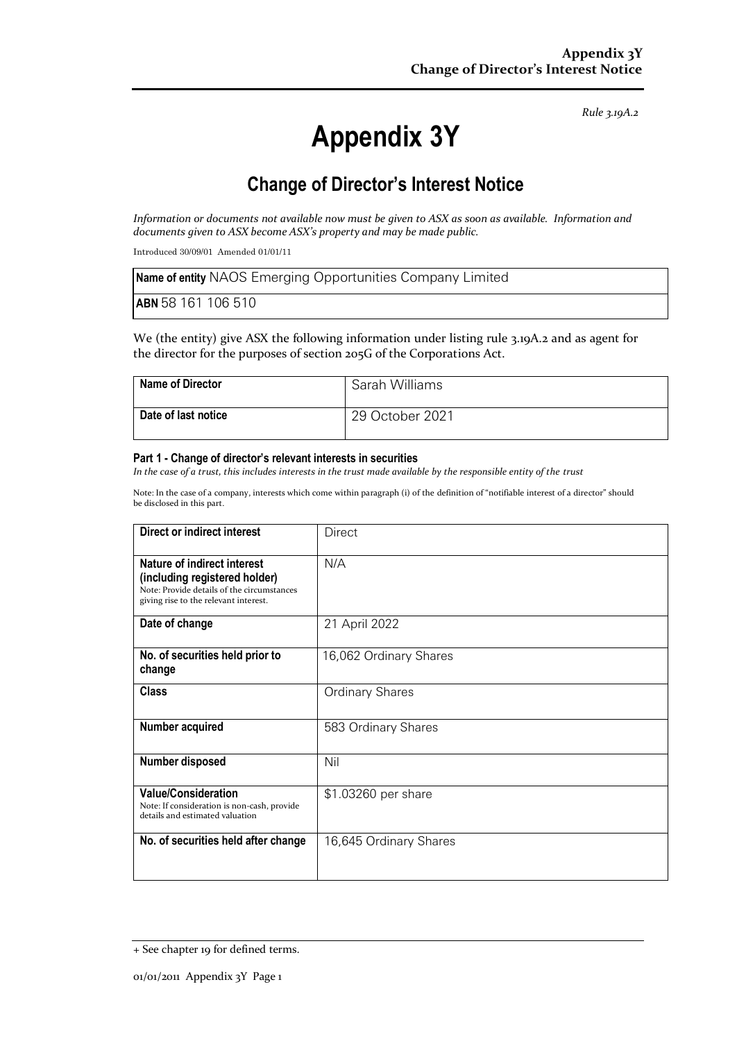*Rule 3.19A.2*

# **Appendix 3Y**

# **Change of Director's Interest Notice**

*Information or documents not available now must be given to ASX as soon as available. Information and documents given to ASX become ASX's property and may be made public.*

Introduced 30/09/01 Amended 01/01/11

| <b>Name of entity</b> NAOS Emerging Opportunities Company Limited |
|-------------------------------------------------------------------|
| <b>ABN</b> 58 161 106 510                                         |

We (the entity) give ASX the following information under listing rule 3.19A.2 and as agent for the director for the purposes of section 205G of the Corporations Act.

| <b>Name of Director</b> | Sarah Williams  |
|-------------------------|-----------------|
| Date of last notice     | 29 October 2021 |

#### **Part 1 - Change of director's relevant interests in securities**

*In the case of a trust, this includes interests in the trust made available by the responsible entity of the trust*

Note: In the case of a company, interests which come within paragraph (i) of the definition of "notifiable interest of a director" should be disclosed in this part.

| Direct or indirect interest                                                                                                                         | Direct                 |
|-----------------------------------------------------------------------------------------------------------------------------------------------------|------------------------|
| Nature of indirect interest<br>(including registered holder)<br>Note: Provide details of the circumstances<br>giving rise to the relevant interest. | N/A                    |
| Date of change                                                                                                                                      | 21 April 2022          |
| No. of securities held prior to<br>change                                                                                                           | 16,062 Ordinary Shares |
| <b>Class</b>                                                                                                                                        | <b>Ordinary Shares</b> |
| Number acquired                                                                                                                                     | 583 Ordinary Shares    |
| Number disposed                                                                                                                                     | Nil                    |
| <b>Value/Consideration</b><br>Note: If consideration is non-cash, provide<br>details and estimated valuation                                        | \$1.03260 per share    |
| No. of securities held after change                                                                                                                 | 16,645 Ordinary Shares |

<sup>+</sup> See chapter 19 for defined terms.